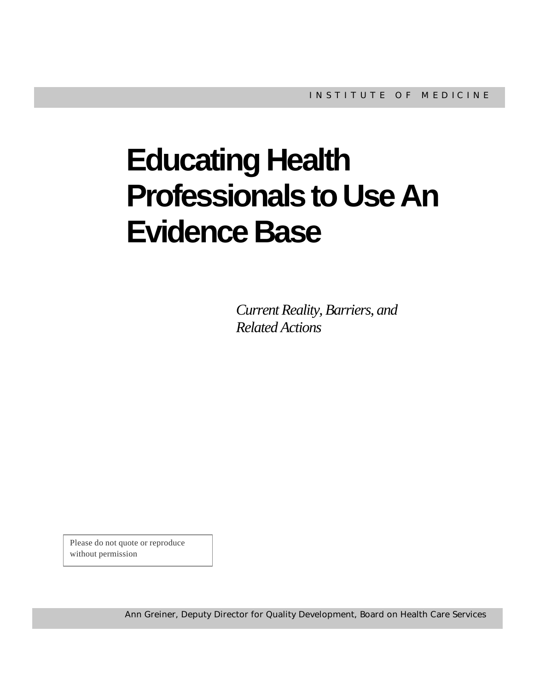# **Educating Health Professionals to Use An Evidence Base**

*Current Reality, Barriers, and Related Actions*

Please do not quote or reproduce without permission

Ann Greiner, Deputy Director for Quality Development, Board on Health Care Services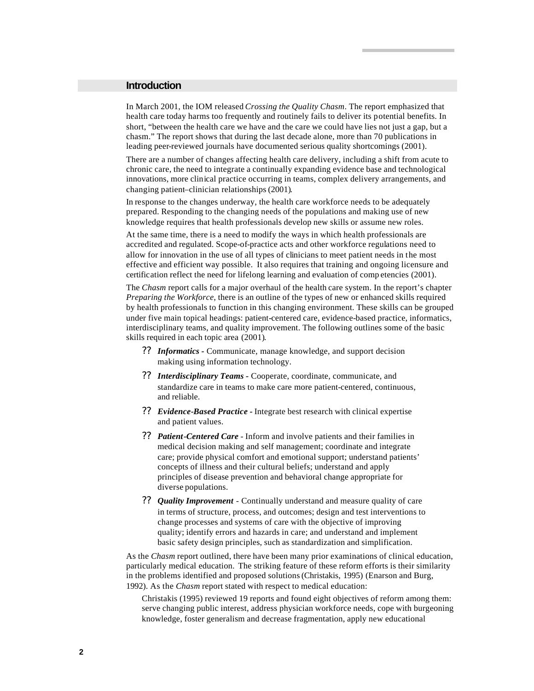#### **Introduction**

In March 2001, the IOM released *Crossing the Quality Chasm*. The report emphasized that health care today harms too frequently and routinely fails to deliver its potential benefits. In short, "between the health care we have and the care we could have lies not just a gap, but a chasm." The report shows that during the last decade alone, more than 70 publications in leading peer-reviewed journals have documented serious quality shortcomings (2001).

There are a number of changes affecting health care delivery, including a shift from acute to chronic care, the need to integrate a continually expanding evidence base and technological innovations, more clinical practice occurring in teams, complex delivery arrangements, and changing patient–clinician relationships (2001).

In response to the changes underway, the health care workforce needs to be adequately prepared. Responding to the changing needs of the populations and making use of new knowledge requires that health professionals develop new skills or assume new roles.

At the same time, there is a need to modify the ways in which health professionals are accredited and regulated. Scope-of-practice acts and other workforce regulations need to allow for innovation in the use of all types of clinicians to meet patient needs in the most effective and efficient way possible. It also requires that training and ongoing licensure and certification reflect the need for lifelong learning and evaluation of comp etencies (2001).

The *Chasm* report calls for a major overhaul of the health care system. In the report's chapter *Preparing the Workforce*, there is an outline of the types of new or enhanced skills required by health professionals to function in this changing environment. These skills can be grouped under five main topical headings: patient-centered care, evidence-based practice, informatics, interdisciplinary teams, and quality improvement. The following outlines some of the basic skills required in each topic area (2001).

- ?? *Informatics -* Communicate, manage knowledge, and support decision making using information technology.
- ?? *Interdisciplinary Teams -* Cooperate, coordinate, communicate, and standardize care in teams to make care more patient-centered, continuous, and reliable.
- ?? *Evidence-Based Practice -* Integrate best research with clinical expertise and patient values.
- ?? *Patient-Centered Care*  Inform and involve patients and their families in medical decision making and self management; coordinate and integrate care; provide physical comfort and emotional support; understand patients' concepts of illness and their cultural beliefs; understand and apply principles of disease prevention and behavioral change appropriate for diverse populations.
- ?? *Quality Improvement* Continually understand and measure quality of care in terms of structure, process, and outcomes; design and test interventions to change processes and systems of care with the objective of improving quality; identify errors and hazards in care; and understand and implement basic safety design principles, such as standardization and simplification.

As the *Chasm* report outlined, there have been many prior examinations of clinical education, particularly medical education. The striking feature of these reform efforts is their similarity in the problems identified and proposed solutions (Christakis, 1995) (Enarson and Burg, 1992). As the *Chasm* report stated with respect to medical education:

Christakis (1995) reviewed 19 reports and found eight objectives of reform among them: serve changing public interest, address physician workforce needs, cope with burgeoning knowledge, foster generalism and decrease fragmentation, apply new educational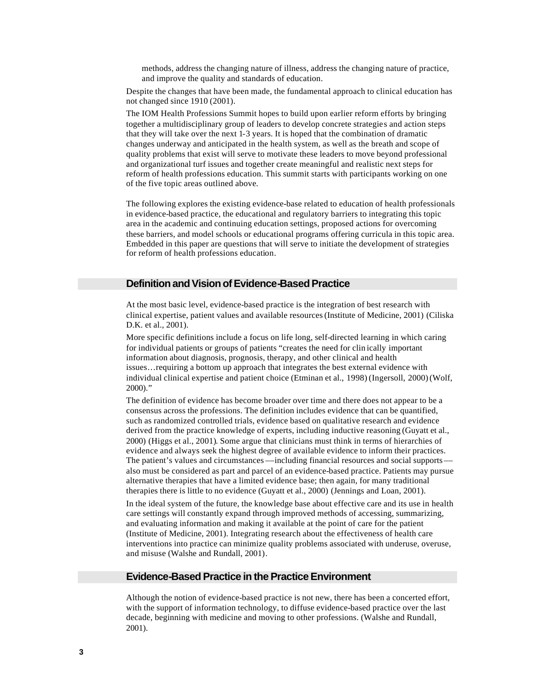methods, address the changing nature of illness, address the changing nature of practice, and improve the quality and standards of education.

Despite the changes that have been made, the fundamental approach to clinical education has not changed since 1910 (2001).

The IOM Health Professions Summit hopes to build upon earlier reform efforts by bringing together a multidisciplinary group of leaders to develop concrete strategies and action steps that they will take over the next 1-3 years. It is hoped that the combination of dramatic changes underway and anticipated in the health system, as well as the breath and scope of quality problems that exist will serve to motivate these leaders to move beyond professional and organizational turf issues and together create meaningful and realistic next steps for reform of health professions education. This summit starts with participants working on one of the five topic areas outlined above.

The following explores the existing evidence-base related to education of health professionals in evidence-based practice, the educational and regulatory barriers to integrating this topic area in the academic and continuing education settings, proposed actions for overcoming these barriers, and model schools or educational programs offering curricula in this topic area. Embedded in this paper are questions that will serve to initiate the development of strategies for reform of health professions education.

## **Definition and Vision of Evidence-Based Practice**

At the most basic level, evidence-based practice is the integration of best research with clinical expertise, patient values and available resources (Institute of Medicine, 2001) (Ciliska D.K. et al., 2001).

More specific definitions include a focus on life long, self-directed learning in which caring for individual patients or groups of patients "creates the need for clin ically important information about diagnosis, prognosis, therapy, and other clinical and health issues…requiring a bottom up approach that integrates the best external evidence with individual clinical expertise and patient choice (Etminan et al., 1998) (Ingersoll, 2000)(Wolf, 2000)."

The definition of evidence has become broader over time and there does not appear to be a consensus across the professions. The definition includes evidence that can be quantified, such as randomized controlled trials, evidence based on qualitative research and evidence derived from the practice knowledge of experts, including inductive reasoning (Guyatt et al., 2000) (Higgs et al., 2001). Some argue that clinicians must think in terms of hierarchies of evidence and always seek the highest degree of available evidence to inform their practices. The patient's values and circumstances ––including financial resources and social supports –– also must be considered as part and parcel of an evidence-based practice. Patients may pursue alternative therapies that have a limited evidence base; then again, for many traditional therapies there is little to no evidence (Guyatt et al., 2000) (Jennings and Loan, 2001).

In the ideal system of the future, the knowledge base about effective care and its use in health care settings will constantly expand through improved methods of accessing, summarizing, and evaluating information and making it available at the point of care for the patient (Institute of Medicine, 2001). Integrating research about the effectiveness of health care interventions into practice can minimize quality problems associated with underuse, overuse, and misuse (Walshe and Rundall, 2001).

## **Evidence-Based Practice in the Practice Environment**

Although the notion of evidence-based practice is not new, there has been a concerted effort, with the support of information technology, to diffuse evidence-based practice over the last decade, beginning with medicine and moving to other professions. (Walshe and Rundall, 2001).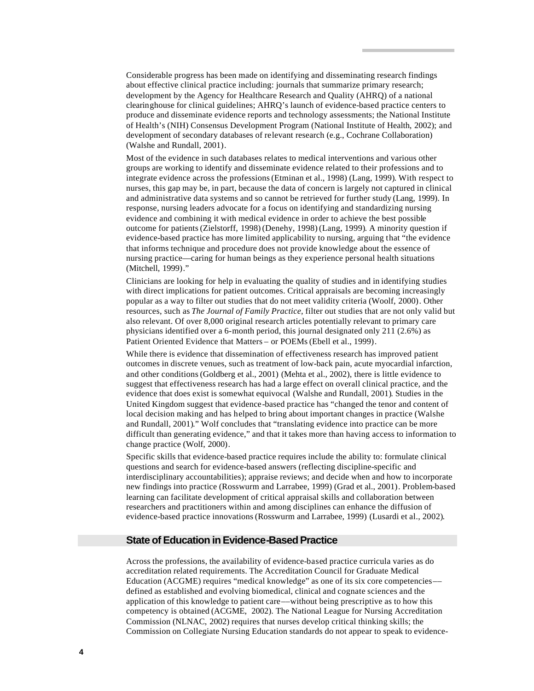Considerable progress has been made on identifying and disseminating research findings about effective clinical practice including: journals that summarize primary research; development by the Agency for Healthcare Research and Quality (AHRQ) of a national clearinghouse for clinical guidelines; AHRQ's launch of evidence-based practice centers to produce and disseminate evidence reports and technology assessments; the National Institute of Health's (NIH) Consensus Development Program (National Institute of Health, 2002); and development of secondary databases of relevant research (e.g., Cochrane Collaboration) (Walshe and Rundall, 2001).

Most of the evidence in such databases relates to medical interventions and various other groups are working to identify and disseminate evidence related to their professions and to integrate evidence across the professions (Etminan et al., 1998) (Lang, 1999). With respect to nurses, this gap may be, in part, because the data of concern is largely not captured in clinical and administrative data systems and so cannot be retrieved for further study (Lang, 1999). In response, nursing leaders advocate for a focus on identifying and standardizing nursing evidence and combining it with medical evidence in order to achieve the best possible outcome for patients (Zielstorff, 1998)(Denehy, 1998) (Lang, 1999). A minority question if evidence-based practice has more limited applicability to nursing, arguing that "the evidence that informs technique and procedure does not provide knowledge about the essence of nursing practice—caring for human beings as they experience personal health situations (Mitchell, 1999)."

Clinicians are looking for help in evaluating the quality of studies and in identifying studies with direct implications for patient outcomes. Critical appraisals are becoming increasingly popular as a way to filter out studies that do not meet validity criteria (Woolf, 2000). Other resources, such as *The Journal of Family Practice,* filter out studies that are not only valid but also relevant. Of over 8,000 original research articles potentially relevant to primary care physicians identified over a 6-month period, this journal designated only 211 (2.6%) as Patient Oriented Evidence that Matters – or POEMs (Ebell et al., 1999).

While there is evidence that dissemination of effectiveness research has improved patient outcomes in discrete venues, such as treatment of low-back pain, acute myocardial infarction, and other conditions (Goldberg et al., 2001) (Mehta et al., 2002), there is little evidence to suggest that effectiveness research has had a large effect on overall clinical practice, and the evidence that does exist is somewhat equivocal (Walshe and Rundall, 2001). Studies in the United Kingdom suggest that evidence-based practice has "changed the tenor and content of local decision making and has helped to bring about important changes in practice (Walshe and Rundall, 2001)." Wolf concludes that "translating evidence into practice can be more difficult than generating evidence," and that it takes more than having access to information to change practice (Wolf, 2000).

Specific skills that evidence-based practice requires include the ability to: formulate clinical questions and search for evidence-based answers (reflecting discipline-specific and interdisciplinary accountabilities); appraise reviews; and decide when and how to incorporate new findings into practice (Rosswurm and Larrabee, 1999) (Grad et al., 2001). Problem-based learning can facilitate development of critical appraisal skills and collaboration between researchers and practitioners within and among disciplines can enhance the diffusion of evidence-based practice innovations (Rosswurm and Larrabee, 1999) (Lusardi et al., 2002).

## **State of Education in Evidence-Based Practice**

Across the professions, the availability of evidence-based practice curricula varies as do accreditation related requirements. The Accreditation Council for Graduate Medical Education (ACGME) requires "medical knowledge" as one of its six core competencies–– defined as established and evolving biomedical, clinical and cognate sciences and the application of this knowledge to patient care––without being prescriptive as to how this competency is obtained (ACGME, 2002). The National League for Nursing Accreditation Commission (NLNAC, 2002) requires that nurses develop critical thinking skills; the Commission on Collegiate Nursing Education standards do not appear to speak to evidence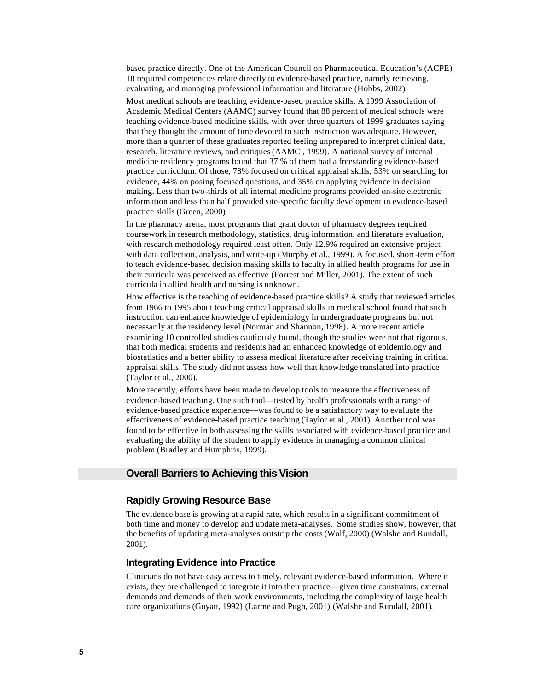based practice directly. One of the American Council on Pharmaceutical Education's (ACPE) 18 required competencies relate directly to evidence-based practice, namely retrieving, evaluating, and managing professional information and literature (Hobbs, 2002).

Most medical schools are teaching evidence-based practice skills. A 1999 Association of Academic Medical Centers (AAMC) survey found that 88 percent of medical schools were teaching evidence-based medicine skills, with over three quarters of 1999 graduates saying that they thought the amount of time devoted to such instruction was adequate. However, more than a quarter of these graduates reported feeling unprepared to interpret clinical data, research, literature reviews, and critiques (AAMC , 1999). A national survey of internal medicine residency programs found that 37 % of them had a freestanding evidence-based practice curriculum. Of those, 78% focused on critical appraisal skills, 53% on searching for evidence, 44% on posing focused questions, and 35% on applying evidence in decision making. Less than two-thirds of all internal medicine programs provided on-site electronic information and less than half provided site-specific faculty development in evidence-based practice skills (Green, 2000).

In the pharmacy arena, most programs that grant doctor of pharmacy degrees required coursework in research methodology, statistics, drug information, and literature evaluation, with research methodology required least often. Only 12.9% required an extensive project with data collection, analysis, and write-up (Murphy et al., 1999). A focused, short-term effort to teach evidence-based decision making skills to faculty in allied health programs for use in their curricula was perceived as effective (Forrest and Miller, 2001). The extent of such curricula in allied health and nursing is unknown.

How effective is the teaching of evidence-based practice skills? A study that reviewed articles from 1966 to 1995 about teaching critical appraisal skills in medical school found that such instruction can enhance knowledge of epidemiology in undergraduate programs but not necessarily at the residency level (Norman and Shannon, 1998). A more recent article examining 10 controlled studies cautiously found, though the studies were not that rigorous, that both medical students and residents had an enhanced knowledge of epidemiology and biostatistics and a better ability to assess medical literature after receiving training in critical appraisal skills. The study did not assess how well that knowledge translated into practice (Taylor et al., 2000).

More recently, efforts have been made to develop tools to measure the effectiveness of evidence-based teaching. One such tool––tested by health professionals with a range of evidence-based practice experience––was found to be a satisfactory way to evaluate the effectiveness of evidence-based practice teaching (Taylor et al., 2001). Another tool was found to be effective in both assessing the skills associated with evidence-based practice and evaluating the ability of the student to apply evidence in managing a common clinical problem (Bradley and Humphris, 1999).

## **Overall Barriers to Achieving this Vision**

## **Rapidly Growing Resource Base**

The evidence base is growing at a rapid rate, which results in a significant commitment of both time and money to develop and update meta-analyses. Some studies show, however, that the benefits of updating meta-analyses outstrip the costs (Wolf, 2000) (Walshe and Rundall, 2001).

#### **Integrating Evidence into Practice**

Clinicians do not have easy access to timely, relevant evidence-based information. Where it exists, they are challenged to integrate it into their practice––given time constraints, external demands and demands of their work environments, including the complexity of large health care organizations (Guyatt, 1992) (Larme and Pugh, 2001) (Walshe and Rundall, 2001).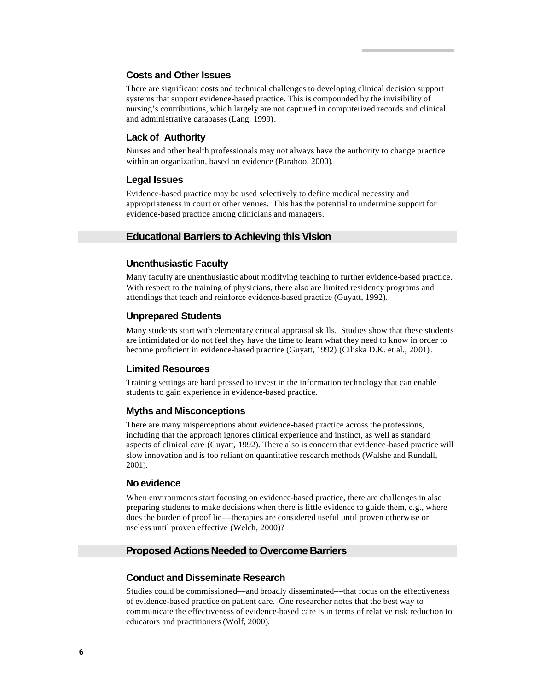#### **Costs and Other Issues**

There are significant costs and technical challenges to developing clinical decision support systems that support evidence-based practice. This is compounded by the invisibility of nursing's contributions, which largely are not captured in computerized records and clinical and administrative databases (Lang, 1999).

## **Lack of Authority**

Nurses and other health professionals may not always have the authority to change practice within an organization, based on evidence (Parahoo, 2000).

### **Legal Issues**

Evidence-based practice may be used selectively to define medical necessity and appropriateness in court or other venues. This has the potential to undermine support for evidence-based practice among clinicians and managers.

#### **Educational Barriers to Achieving this Vision**

## **Unenthusiastic Faculty**

Many faculty are unenthusiastic about modifying teaching to further evidence-based practice. With respect to the training of physicians, there also are limited residency programs and attendings that teach and reinforce evidence-based practice (Guyatt, 1992).

#### **Unprepared Students**

Many students start with elementary critical appraisal skills. Studies show that these students are intimidated or do not feel they have the time to learn what they need to know in order to become proficient in evidence-based practice (Guyatt, 1992) (Ciliska D.K. et al., 2001).

### **Limited Resources**

Training settings are hard pressed to invest in the information technology that can enable students to gain experience in evidence-based practice.

### **Myths and Misconceptions**

There are many misperceptions about evidence-based practice across the professions, including that the approach ignores clinical experience and instinct, as well as standard aspects of clinical care (Guyatt, 1992). There also is concern that evidence-based practice will slow innovation and is too reliant on quantitative research methods (Walshe and Rundall, 2001).

## **No evidence**

When environments start focusing on evidence-based practice, there are challenges in also preparing students to make decisions when there is little evidence to guide them, e.g., where does the burden of proof lie––therapies are considered useful until proven otherwise or useless until proven effective (Welch, 2000)?

#### **Proposed Actions Needed to Overcome Barriers**

## **Conduct and Disseminate Research**

Studies could be commissioned––and broadly disseminated––that focus on the effectiveness of evidence-based practice on patient care. One researcher notes that the best way to communicate the effectiveness of evidence-based care is in terms of relative risk reduction to educators and practitioners (Wolf, 2000).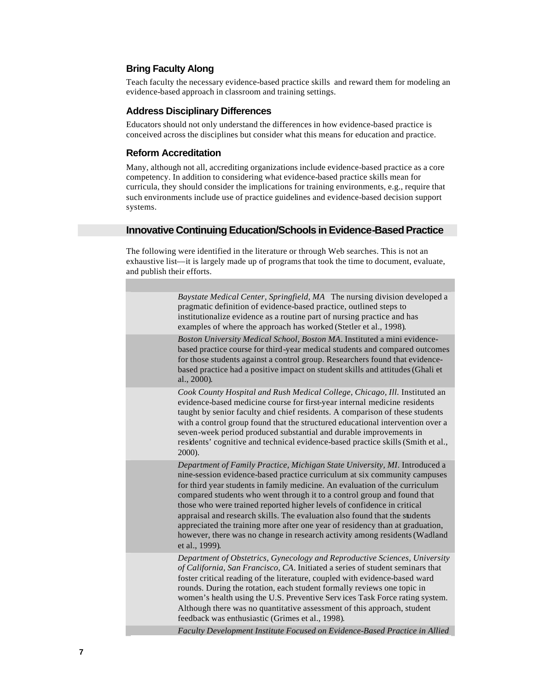## **Bring Faculty Along**

Teach faculty the necessary evidence-based practice skills and reward them for modeling an evidence-based approach in classroom and training settings.

## **Address Disciplinary Differences**

Educators should not only understand the differences in how evidence-based practice is conceived across the disciplines but consider what this means for education and practice.

## **Reform Accreditation**

Many, although not all, accrediting organizations include evidence-based practice as a core competency. In addition to considering what evidence-based practice skills mean for curricula, they should consider the implications for training environments, e.g., require that such environments include use of practice guidelines and evidence-based decision support systems.

## **Innovative Continuing Education/Schools in Evidence-Based Practice**

The following were identified in the literature or through Web searches. This is not an exhaustive list––it is largely made up of programs that took the time to document, evaluate, and publish their efforts.

| Baystate Medical Center, Springfield, MA The nursing division developed a<br>pragmatic definition of evidence-based practice, outlined steps to<br>institutionalize evidence as a routine part of nursing practice and has<br>examples of where the approach has worked (Stetler et al., 1998).                                                                                                                                                                                                                                                                                                                                                             |
|-------------------------------------------------------------------------------------------------------------------------------------------------------------------------------------------------------------------------------------------------------------------------------------------------------------------------------------------------------------------------------------------------------------------------------------------------------------------------------------------------------------------------------------------------------------------------------------------------------------------------------------------------------------|
| Boston University Medical School, Boston MA. Instituted a mini evidence-<br>based practice course for third-year medical students and compared outcomes<br>for those students against a control group. Researchers found that evidence-<br>based practice had a positive impact on student skills and attitudes (Ghali et<br>al., 2000).                                                                                                                                                                                                                                                                                                                    |
| Cook County Hospital and Rush Medical College, Chicago, Ill. Instituted an<br>evidence-based medicine course for first-year internal medicine residents<br>taught by senior faculty and chief residents. A comparison of these students<br>with a control group found that the structured educational intervention over a<br>seven-week period produced substantial and durable improvements in<br>residents' cognitive and technical evidence-based practice skills (Smith et al.,<br>2000).                                                                                                                                                               |
| Department of Family Practice, Michigan State University, MI. Introduced a<br>nine-session evidence-based practice curriculum at six community campuses<br>for third year students in family medicine. An evaluation of the curriculum<br>compared students who went through it to a control group and found that<br>those who were trained reported higher levels of confidence in critical<br>appraisal and research skills. The evaluation also found that the students<br>appreciated the training more after one year of residency than at graduation,<br>however, there was no change in research activity among residents (Wadland<br>et al., 1999). |
| Department of Obstetrics, Gynecology and Reproductive Sciences, University<br>of California, San Francisco, CA. Initiated a series of student seminars that<br>foster critical reading of the literature, coupled with evidence-based ward<br>rounds. During the rotation, each student formally reviews one topic in<br>women's health using the U.S. Preventive Services Task Force rating system.<br>Although there was no quantitative assessment of this approach, student<br>feedback was enthusiastic (Grimes et al., 1998).                                                                                                                         |
| Faculty Development Institute Focused on Evidence-Based Practice in Allied                                                                                                                                                                                                                                                                                                                                                                                                                                                                                                                                                                                  |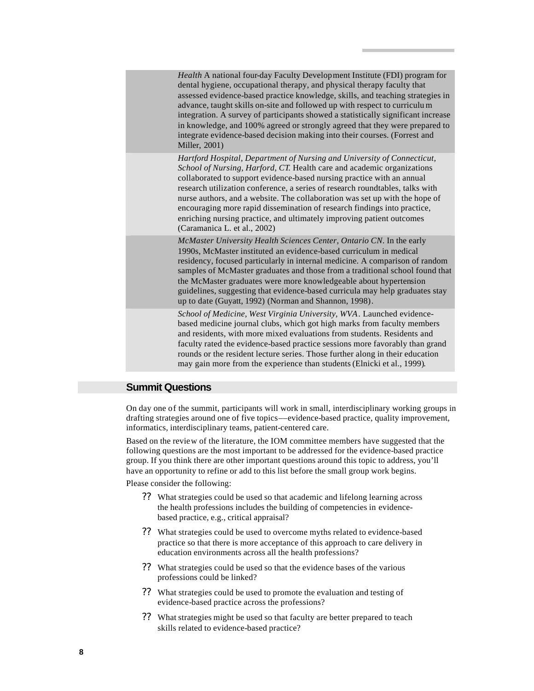| Health A national four-day Faculty Development Institute (FDI) program for<br>dental hygiene, occupational therapy, and physical therapy faculty that<br>assessed evidence-based practice knowledge, skills, and teaching strategies in<br>advance, taught skills on-site and followed up with respect to curriculum<br>integration. A survey of participants showed a statistically significant increase<br>in knowledge, and 100% agreed or strongly agreed that they were prepared to<br>integrate evidence-based decision making into their courses. (Forrest and<br>Miller, 2001) |
|----------------------------------------------------------------------------------------------------------------------------------------------------------------------------------------------------------------------------------------------------------------------------------------------------------------------------------------------------------------------------------------------------------------------------------------------------------------------------------------------------------------------------------------------------------------------------------------|
| Hartford Hospital, Department of Nursing and University of Connecticut,<br>School of Nursing, Harford, CT. Health care and academic organizations<br>collaborated to support evidence-based nursing practice with an annual<br>research utilization conference, a series of research roundtables, talks with<br>nurse authors, and a website. The collaboration was set up with the hope of<br>encouraging more rapid dissemination of research findings into practice,<br>enriching nursing practice, and ultimately improving patient outcomes<br>(Caramanica L. et al., 2002)       |
| McMaster University Health Sciences Center, Ontario CN. In the early<br>1990s, McMaster instituted an evidence-based curriculum in medical<br>residency, focused particularly in internal medicine. A comparison of random<br>samples of McMaster graduates and those from a traditional school found that<br>the McMaster graduates were more knowledgeable about hypertension<br>guidelines, suggesting that evidence-based curricula may help graduates stay<br>up to date (Guyatt, 1992) (Norman and Shannon, 1998).                                                               |
| School of Medicine, West Virginia University, WVA. Launched evidence-<br>based medicine journal clubs, which got high marks from faculty members<br>and residents, with more mixed evaluations from students. Residents and<br>faculty rated the evidence-based practice sessions more favorably than grand<br>rounds or the resident lecture series. Those further along in their education                                                                                                                                                                                           |

may gain more from the experience than students (Elnicki et al., 1999).

# **Summit Questions**

On day one of the summit, participants will work in small, interdisciplinary working groups in drafting strategies around one of five topics––evidence-based practice, quality improvement, informatics, interdisciplinary teams, patient-centered care.

Based on the review of the literature, the IOM committee members have suggested that the following questions are the most important to be addressed for the evidence-based practice group. If you think there are other important questions around this topic to address, you'll have an opportunity to refine or add to this list before the small group work begins.

Please consider the following:

- ?? What strategies could be used so that academic and lifelong learning across the health professions includes the building of competencies in evidencebased practice, e.g., critical appraisal?
- ?? What strategies could be used to overcome myths related to evidence-based practice so that there is more acceptance of this approach to care delivery in education environments across all the health professions?
- ?? What strategies could be used so that the evidence bases of the various professions could be linked?
- ?? What strategies could be used to promote the evaluation and testing of evidence-based practice across the professions?
- ?? What strategies might be used so that faculty are better prepared to teach skills related to evidence-based practice?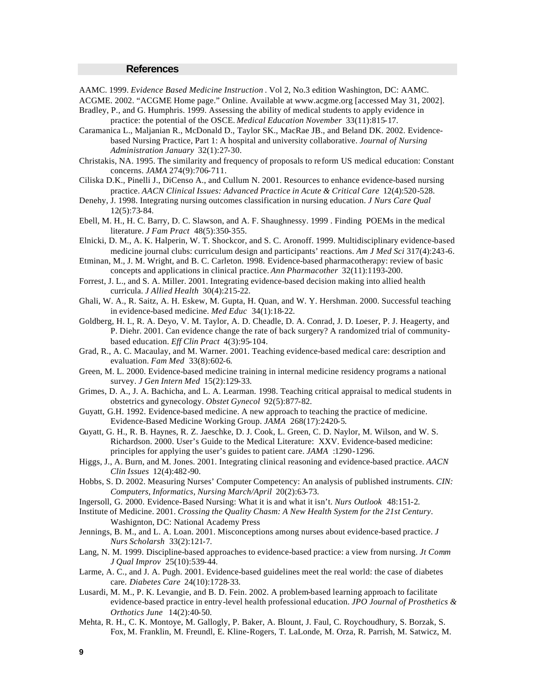#### **References**

AAMC. 1999. *Evidence Based Medicine Instruction* . Vol 2, No.3 edition Washington, DC: AAMC. ACGME. 2002. "ACGME Home page." Online. Available at www.acgme.org [accessed May 31, 2002]. Bradley, P., and G. Humphris. 1999. Assessing the ability of medical students to apply evidence in practice: the potential of the OSCE. *Medical Education November* 33(11):815-17.

Caramanica L., Maljanian R., McDonald D., Taylor SK., MacRae JB., and Beland DK. 2002. Evidencebased Nursing Practice, Part 1: A hospital and university collaborative. *Journal of Nursing Administration January* 32(1):27-30.

- Christakis, NA. 1995. The similarity and frequency of proposals to reform US medical education: Constant concerns. *JAMA* 274(9):706-711.
- Ciliska D.K., Pinelli J., DiCenso A., and Cullum N. 2001. Resources to enhance evidence-based nursing practice. *AACN Clinical Issues: Advanced Practice in Acute & Critical Care* 12(4):520-528.
- Denehy, J. 1998. Integrating nursing outcomes classification in nursing education. *J Nurs Care Qual* 12(5):73-84.
- Ebell, M. H., H. C. Barry, D. C. Slawson, and A. F. Shaughnessy. 1999 . Finding POEMs in the medical literature. *J Fam Pract* 48(5):350-355.
- Elnicki, D. M., A. K. Halperin, W. T. Shockcor, and S. C. Aronoff. 1999. Multidisciplinary evidence-based medicine journal clubs: curriculum design and participants' reactions. *Am J Med Sci* 317(4):243-6.
- Etminan, M., J. M. Wright, and B. C. Carleton. 1998. Evidence-based pharmacotherapy: review of basic concepts and applications in clinical practice. *Ann Pharmacother* 32(11):1193-200.
- Forrest, J. L., and S. A. Miller. 2001. Integrating evidence-based decision making into allied health curricula. *J Allied Health* 30(4):215-22.
- Ghali, W. A., R. Saitz, A. H. Eskew, M. Gupta, H. Quan, and W. Y. Hershman. 2000. Successful teaching in evidence-based medicine. *Med Educ* 34(1):18-22.
- Goldberg, H. I., R. A. Deyo, V. M. Taylor, A. D. Cheadle, D. A. Conrad, J. D. Loeser, P. J. Heagerty, and P. Diehr. 2001. Can evidence change the rate of back surgery? A randomized trial of communitybased education. *Eff Clin Pract* 4(3):95-104.
- Grad, R., A. C. Macaulay, and M. Warner. 2001. Teaching evidence-based medical care: description and evaluation. *Fam Med* 33(8):602-6.
- Green, M. L. 2000. Evidence-based medicine training in internal medicine residency programs a national survey. *J Gen Intern Med* 15(2):129-33.
- Grimes, D. A., J. A. Bachicha, and L. A. Learman. 1998. Teaching critical appraisal to medical students in obstetrics and gynecology. *Obstet Gynecol* 92(5):877-82.
- Guyatt, G.H. 1992. Evidence-based medicine. A new approach to teaching the practice of medicine. Evidence-Based Medicine Working Group. *JAMA* 268(17):2420-5.
- Guyatt, G. H., R. B. Haynes, R. Z. Jaeschke, D. J. Cook, L. Green, C. D. Naylor, M. Wilson, and W. S. Richardson. 2000. User's Guide to the Medical Literature: XXV. Evidence-based medicine: principles for applying the user's guides to patient care. *JAMA* :1290-1296.
- Higgs, J., A. Burn, and M. Jones. 2001. Integrating clinical reasoning and evidence-based practice. *AACN Clin Issues* 12(4):482-90.
- Hobbs, S. D. 2002. Measuring Nurses' Computer Competency: An analysis of published instruments. *CIN: Computers, Informatics, Nursing March/April* 20(2):63-73.
- Ingersoll, G. 2000. Evidence-Based Nursing: What it is and what it isn't. *Nurs Outlook* 48:151-2.
- Institute of Medicine. 2001. *Crossing the Quality Chasm: A New Health System for the 21st Century*. Washignton, DC: National Academy Press
- Jennings, B. M., and L. A. Loan. 2001. Misconceptions among nurses about evidence-based practice. *J Nurs Scholarsh* 33(2):121-7.
- Lang, N. M. 1999. Discipline-based approaches to evidence-based practice: a view from nursing. *Jt Comm J Qual Improv* 25(10):539-44.
- Larme, A. C., and J. A. Pugh. 2001. Evidence-based guidelines meet the real world: the case of diabetes care. *Diabetes Care* 24(10):1728-33.
- Lusardi, M. M., P. K. Levangie, and B. D. Fein. 2002. A problem-based learning approach to facilitate evidence-based practice in entry-level health professional education. *JPO Journal of Prosthetics & Orthotics June* 14(2):40-50.
- Mehta, R. H., C. K. Montoye, M. Gallogly, P. Baker, A. Blount, J. Faul, C. Roychoudhury, S. Borzak, S. Fox, M. Franklin, M. Freundl, E. Kline-Rogers, T. LaLonde, M. Orza, R. Parrish, M. Satwicz, M.